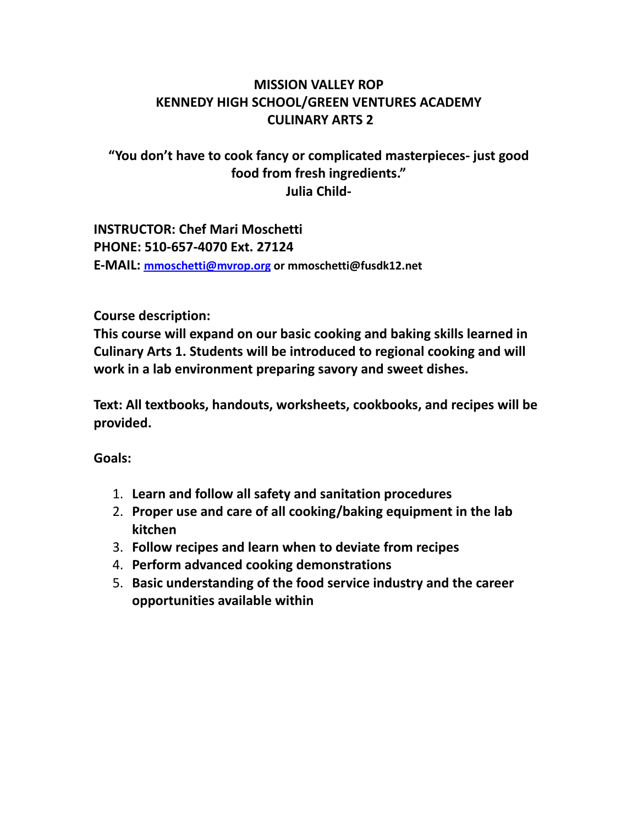## **MISSION VALLEY ROP KENNEDY HIGH SCHOOL/GREEN VENTURES ACADEMY CULINARY ARTS 2**

# **"You don't have to cook fancy or complicated masterpieces- just good food from fresh ingredients." Julia Child-**

**INSTRUCTOR: Chef Mari Moschetti PHONE: 510-657-4070 Ext. 27124 E-MAIL: [mmoschetti@mvrop.org](mailto:mmoschetti@mvrop.org) or mmoschetti@fusdk12.net**

#### **Course description:**

**This course will expand on our basic cooking and baking skills learned in Culinary Arts 1. Students will be introduced to regional cooking and will work in a lab environment preparing savory and sweet dishes.**

**Text: All textbooks, handouts, worksheets, cookbooks, and recipes will be provided.**

**Goals:**

- 1. **Learn and follow all safety and sanitation procedures**
- 2. **Proper use and care of all cooking/baking equipment in the lab kitchen**
- 3. **Follow recipes and learn when to deviate from recipes**
- 4. **Perform advanced cooking demonstrations**
- 5. **Basic understanding of the food service industry and the career opportunities available within**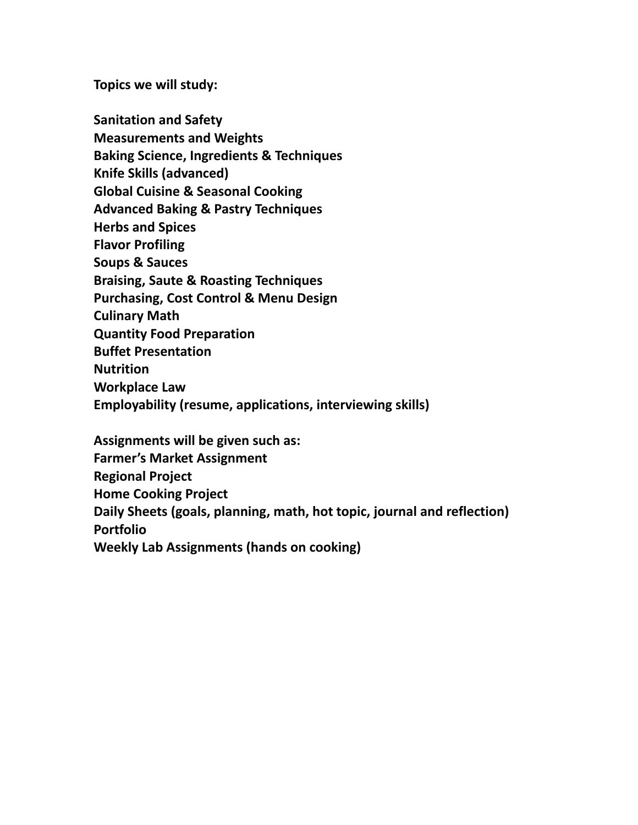**Topics we will study:**

**Sanitation and Safety Measurements and Weights Baking Science, Ingredients & Techniques Knife Skills (advanced) Global Cuisine & Seasonal Cooking Advanced Baking & Pastry Techniques Herbs and Spices Flavor Profiling Soups & Sauces Braising, Saute & Roasting Techniques Purchasing, Cost Control & Menu Design Culinary Math Quantity Food Preparation Buffet Presentation Nutrition Workplace Law Employability (resume, applications, interviewing skills) Assignments will be given such as:**

**Farmer's Market Assignment Regional Project Home Cooking Project Daily Sheets (goals, planning, math, hot topic, journal and reflection) Portfolio Weekly Lab Assignments (hands on cooking)**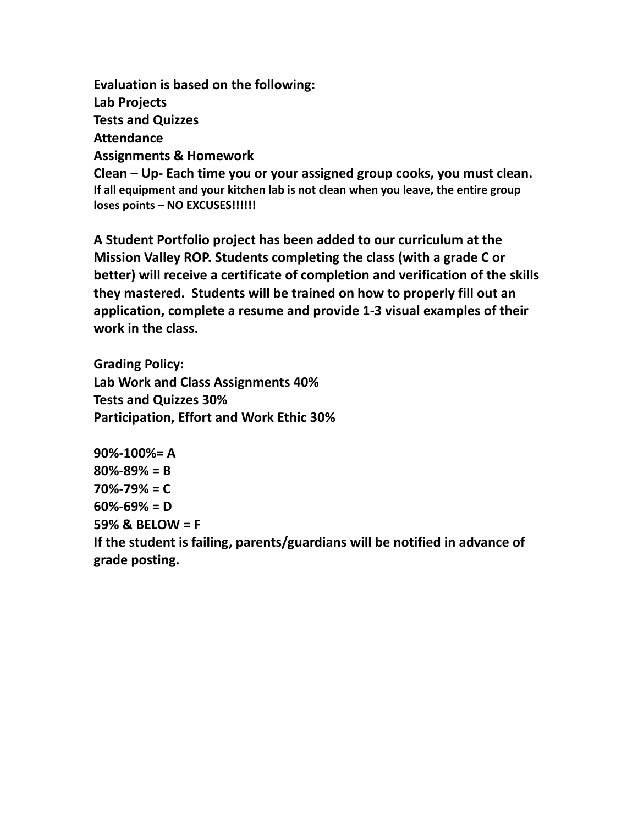**Evaluation is based on the following: Lab Projects Tests and Quizzes Attendance Assignments & Homework Clean – Up- Each time you or your assigned group cooks, you must clean. If all equipment and your kitchen lab is not clean when you leave, the entire group loses points – NO EXCUSES!!!!!!**

**A Student Portfolio project has been added to our curriculum at the Mission Valley ROP. Students completing the class (with a grade C or better) will receive a certificate of completion and verification of the skills they mastered. Students will be trained on how to properly fill out an application, complete a resume and provide 1-3 visual examples of their work in the class.**

**Grading Policy: Lab Work and Class Assignments 40% Tests and Quizzes 30% Participation, Effort and Work Ethic 30%**

**90%-100%= A 80%-89% = B 70%-79% = C 60%-69% = D 59% & BELOW = F If the student is failing, parents/guardians will be notified in advance of grade posting.**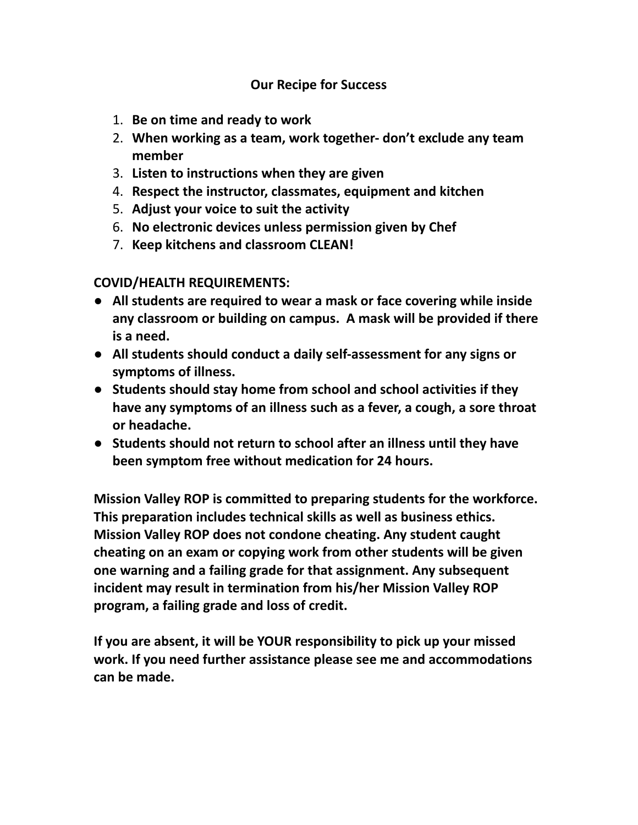### **Our Recipe for Success**

- 1. **Be on time and ready to work**
- 2. **When working as a team, work together- don't exclude any team member**
- 3. **Listen to instructions when they are given**
- 4. **Respect the instructor, classmates, equipment and kitchen**
- 5. **Adjust your voice to suit the activity**
- 6. **No electronic devices unless permission given by Chef**
- 7. **Keep kitchens and classroom CLEAN!**

#### **COVID/HEALTH REQUIREMENTS:**

- **All students are required to wear a mask or face covering while inside any classroom or building on campus. A mask will be provided if there is a need.**
- **All students should conduct a daily self-assessment for any signs or symptoms of illness.**
- **Students should stay home from school and school activities if they have any symptoms of an illness such as a fever, a cough, a sore throat or headache.**
- **Students should not return to school after an illness until they have been symptom free without medication for 24 hours.**

**Mission Valley ROP is committed to preparing students for the workforce. This preparation includes technical skills as well as business ethics. Mission Valley ROP does not condone cheating. Any student caught cheating on an exam or copying work from other students will be given one warning and a failing grade for that assignment. Any subsequent incident may result in termination from his/her Mission Valley ROP program, a failing grade and loss of credit.**

**If you are absent, it will be YOUR responsibility to pick up your missed work. If you need further assistance please see me and accommodations can be made.**